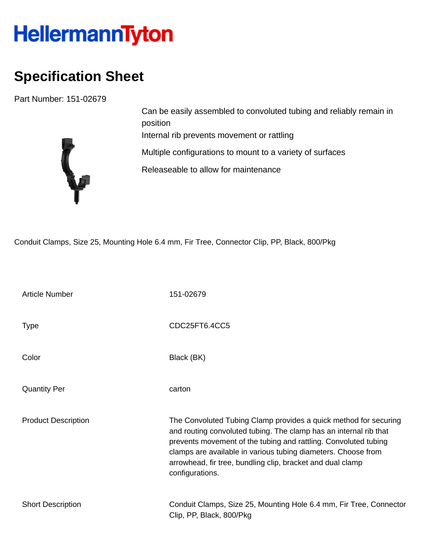## HellermannTyton

## **Specification Sheet**

Part Number: 151-02679



Can be easily assembled to convoluted tubing and reliably remain in position Internal rib prevents movement or rattling Multiple configurations to mount to a variety of surfaces Releaseable to allow for maintenance

Conduit Clamps, Size 25, Mounting Hole 6.4 mm, Fir Tree, Connector Clip, PP, Black, 800/Pkg

| <b>Article Number</b>      | 151-02679                                                                                                                                                                                                                                                                                                                                                  |
|----------------------------|------------------------------------------------------------------------------------------------------------------------------------------------------------------------------------------------------------------------------------------------------------------------------------------------------------------------------------------------------------|
| Type                       | CDC25FT6.4CC5                                                                                                                                                                                                                                                                                                                                              |
| Color                      | Black (BK)                                                                                                                                                                                                                                                                                                                                                 |
| <b>Quantity Per</b>        | carton                                                                                                                                                                                                                                                                                                                                                     |
| <b>Product Description</b> | The Convoluted Tubing Clamp provides a quick method for securing<br>and routing convoluted tubing. The clamp has an internal rib that<br>prevents movement of the tubing and rattling. Convoluted tubing<br>clamps are available in various tubing diameters. Choose from<br>arrowhead, fir tree, bundling clip, bracket and dual clamp<br>configurations. |
| <b>Short Description</b>   | Conduit Clamps, Size 25, Mounting Hole 6.4 mm, Fir Tree, Connector<br>Clip, PP, Black, 800/Pkg                                                                                                                                                                                                                                                             |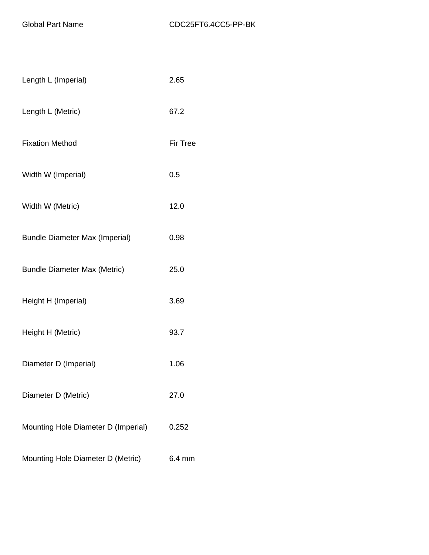| Length L (Imperial)                   | 2.65            |
|---------------------------------------|-----------------|
| Length L (Metric)                     | 67.2            |
| <b>Fixation Method</b>                | <b>Fir Tree</b> |
| Width W (Imperial)                    | 0.5             |
| Width W (Metric)                      | 12.0            |
| <b>Bundle Diameter Max (Imperial)</b> | 0.98            |
| <b>Bundle Diameter Max (Metric)</b>   | 25.0            |
| Height H (Imperial)                   | 3.69            |
| Height H (Metric)                     | 93.7            |
| Diameter D (Imperial)                 | 1.06            |
| Diameter D (Metric)                   | 27.0            |
| Mounting Hole Diameter D (Imperial)   | 0.252           |
| Mounting Hole Diameter D (Metric)     | 6.4 mm          |